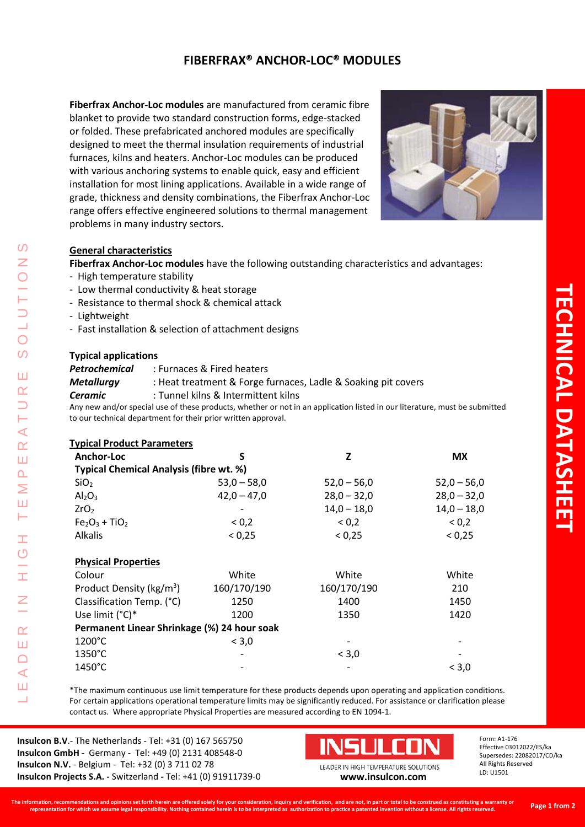# **FIBERFRAX® ANCHOR-LOC® MODULES**

**Fiberfrax Anchor-Loc modules** are manufactured from ceramic fibre blanket to provide two standard construction forms, edge-stacked or folded. These prefabricated anchored modules are specifically designed to meet the thermal insulation requirements of industrial furnaces, kilns and heaters. Anchor-Loc modules can be produced with various anchoring systems to enable quick, easy and efficient installation for most lining applications. Available in a wide range of grade, thickness and density combinations, the Fiberfrax Anchor-Loc range offers effective engineered solutions to thermal management problems in many industry sectors.



#### **General characteristics**

**Fiberfrax Anchor-Loc modules** have the following outstanding characteristics and advantages:

- High temperature stability
- Low thermal conductivity & heat storage
- Resistance to thermal shock & chemical attack
- Lightweight

LEADER IN HIGH TEMPERATURE SOLUTIONS

H  $\overline{O}$ 

Ŧ

Z

 $\alpha$ Ш  $\Box$ ⋖ Ш

 $\blacktriangleleft$  $\alpha$ Ш  $\Omega$ Σ Ш Н

 $\Omega$ 

 $\overline{\bigcirc}$  $\overline{O}$ 

Ш  $\alpha$ 

- Fast installation & selection of attachment designs

#### **Typical applications**

| Petrochemical | : Furnaces & Fired heaters                                    |  |
|---------------|---------------------------------------------------------------|--|
| Metallurgy    | : Heat treatment & Forge furnaces, Ladle & Soaking pit covers |  |
| Ceramic       | : Tunnel kilns & Intermittent kilns                           |  |
|               |                                                               |  |

Any new and/or special use of these products, whether or not in an application listed in our literature, must be submitted to our technical department for their prior written approval.

| <b>Typical Product Parameters</b> |  |
|-----------------------------------|--|
|                                   |  |

| Anchor-Loc                                  | S             | Z             | <b>MX</b>     |  |  |  |
|---------------------------------------------|---------------|---------------|---------------|--|--|--|
| Typical Chemical Analysis (fibre wt. %)     |               |               |               |  |  |  |
| SiO <sub>2</sub>                            | $53,0 - 58,0$ | $52,0 - 56,0$ | $52,0 - 56,0$ |  |  |  |
| Al <sub>2</sub> O <sub>3</sub>              | $42,0 - 47,0$ | $28,0 - 32,0$ | $28,0 - 32,0$ |  |  |  |
| ZrO <sub>2</sub>                            |               | $14,0 - 18,0$ | $14,0 - 18,0$ |  |  |  |
| $Fe2O3 + TiO2$                              | ${}_{0.2}$    | < 0.2         | < 0.2         |  |  |  |
| <b>Alkalis</b>                              | < 0.25        | < 0.25        | < 0.25        |  |  |  |
| <b>Physical Properties</b>                  |               |               |               |  |  |  |
| Colour                                      | White         | White         | White         |  |  |  |
| Product Density (kg/m <sup>3</sup> )        | 160/170/190   | 160/170/190   | 210           |  |  |  |
| Classification Temp. (°C)                   | 1250          | 1400          | 1450          |  |  |  |
| Use limit $(^{\circ}C)^*$                   | 1200          | 1350          | 1420          |  |  |  |
| Permanent Linear Shrinkage (%) 24 hour soak |               |               |               |  |  |  |
| $1200^{\circ}$ C                            | < 3,0         |               |               |  |  |  |
| $1350^{\circ}$ C                            |               | < 3,0         |               |  |  |  |
| 1450°C                                      |               |               | < 3,0         |  |  |  |

\*The maximum continuous use limit temperature for these products depends upon operating and application conditions. For certain applications operational temperature limits may be significantly reduced. For assistance or clarification please contact us. Where appropriate Physical Properties are measured according to EN 1094-1.

**Insulcon B.V**.- The Netherlands - Tel: +31 (0) 167 565750 **Insulcon GmbH** - Germany - Tel: +49 (0) 2131 408548-0 **Insulcon N.V.** - Belgium - Tel: +32 (0) 3 711 02 78 **Insulcon Projects S.A. -** Switzerland **-** Tel: +41 (0) 91911739-0



LEADER IN HIGH TEMPERATURE SOLUTIONS **[www.insulcon.com](http://www.insulcon.com/)**

Form: A1-176 Effective 03012022/ES/ka Supersedes: 22082017/CD/ka All Rights Reserved LD: U1501